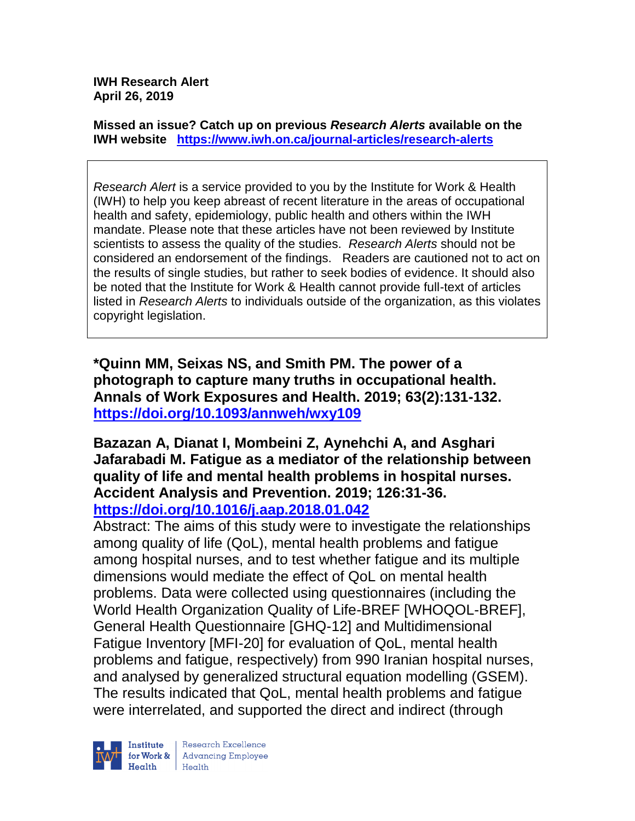**IWH Research Alert April 26, 2019**

**Missed an issue? Catch up on previous** *Research Alerts* **available on the [IWH website](http://www.iwh.on.ca/research-alerts) <https://www.iwh.on.ca/journal-articles/research-alerts>**

*Research Alert* is a service provided to you by the Institute for Work & Health (IWH) to help you keep abreast of recent literature in the areas of occupational health and safety, epidemiology, public health and others within the IWH mandate. Please note that these articles have not been reviewed by Institute scientists to assess the quality of the studies. *Research Alerts* should not be considered an endorsement of the findings. Readers are cautioned not to act on the results of single studies, but rather to seek bodies of evidence. It should also be noted that the Institute for Work & Health cannot provide full-text of articles listed in *Research Alerts* to individuals outside of the organization, as this violates copyright legislation.

**\*Quinn MM, Seixas NS, and Smith PM. The power of a photograph to capture many truths in occupational health. Annals of Work Exposures and Health. 2019; 63(2):131-132. <https://doi.org/10.1093/annweh/wxy109>** 

**Bazazan A, Dianat I, Mombeini Z, Aynehchi A, and Asghari Jafarabadi M. Fatigue as a mediator of the relationship between quality of life and mental health problems in hospital nurses. Accident Analysis and Prevention. 2019; 126:31-36. <https://doi.org/10.1016/j.aap.2018.01.042>** 

Abstract: The aims of this study were to investigate the relationships among quality of life (QoL), mental health problems and fatigue among hospital nurses, and to test whether fatigue and its multiple dimensions would mediate the effect of QoL on mental health problems. Data were collected using questionnaires (including the World Health Organization Quality of Life-BREF [WHOQOL-BREF], General Health Questionnaire [GHQ-12] and Multidimensional Fatigue Inventory [MFI-20] for evaluation of QoL, mental health problems and fatigue, respectively) from 990 Iranian hospital nurses, and analysed by generalized structural equation modelling (GSEM). The results indicated that QoL, mental health problems and fatigue were interrelated, and supported the direct and indirect (through



Research Excellence for Work & | Advancing Employee  $H_{\text{eath}}$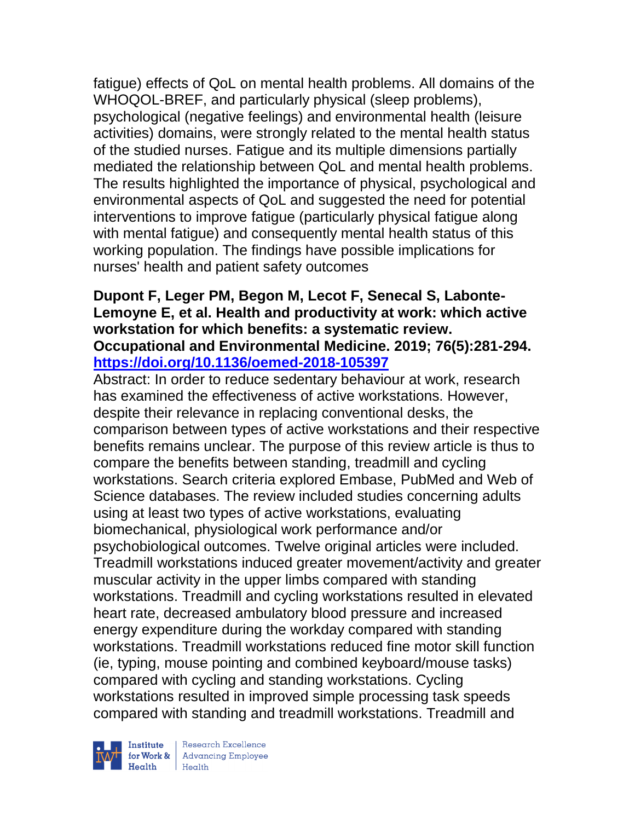fatigue) effects of QoL on mental health problems. All domains of the WHOQOL-BREF, and particularly physical (sleep problems), psychological (negative feelings) and environmental health (leisure activities) domains, were strongly related to the mental health status of the studied nurses. Fatigue and its multiple dimensions partially mediated the relationship between QoL and mental health problems. The results highlighted the importance of physical, psychological and environmental aspects of QoL and suggested the need for potential interventions to improve fatigue (particularly physical fatigue along with mental fatigue) and consequently mental health status of this working population. The findings have possible implications for nurses' health and patient safety outcomes

#### **Dupont F, Leger PM, Begon M, Lecot F, Senecal S, Labonte-Lemoyne E, et al. Health and productivity at work: which active workstation for which benefits: a systematic review. Occupational and Environmental Medicine. 2019; 76(5):281-294. <https://doi.org/10.1136/oemed-2018-105397>**

Abstract: In order to reduce sedentary behaviour at work, research has examined the effectiveness of active workstations. However, despite their relevance in replacing conventional desks, the comparison between types of active workstations and their respective benefits remains unclear. The purpose of this review article is thus to compare the benefits between standing, treadmill and cycling workstations. Search criteria explored Embase, PubMed and Web of Science databases. The review included studies concerning adults using at least two types of active workstations, evaluating biomechanical, physiological work performance and/or psychobiological outcomes. Twelve original articles were included. Treadmill workstations induced greater movement/activity and greater muscular activity in the upper limbs compared with standing workstations. Treadmill and cycling workstations resulted in elevated heart rate, decreased ambulatory blood pressure and increased energy expenditure during the workday compared with standing workstations. Treadmill workstations reduced fine motor skill function (ie, typing, mouse pointing and combined keyboard/mouse tasks) compared with cycling and standing workstations. Cycling workstations resulted in improved simple processing task speeds compared with standing and treadmill workstations. Treadmill and

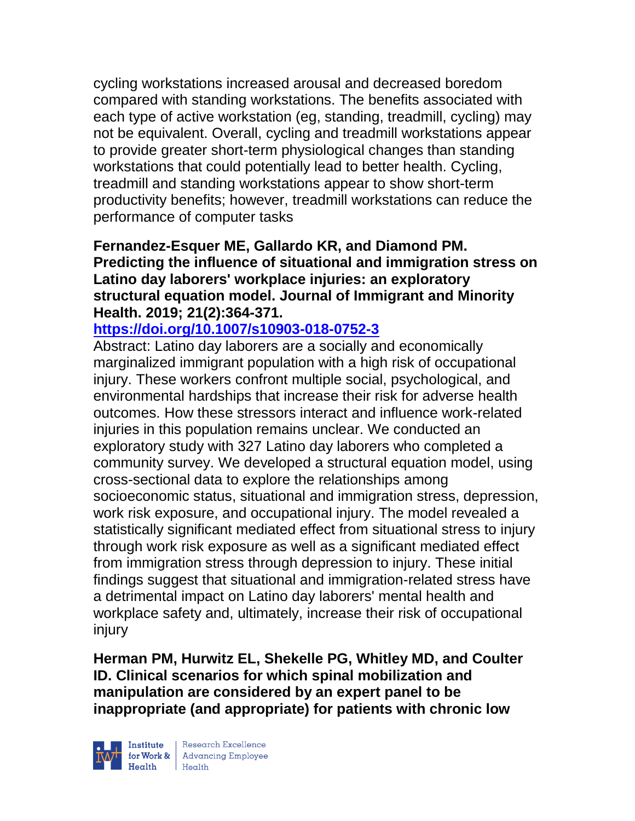cycling workstations increased arousal and decreased boredom compared with standing workstations. The benefits associated with each type of active workstation (eg, standing, treadmill, cycling) may not be equivalent. Overall, cycling and treadmill workstations appear to provide greater short-term physiological changes than standing workstations that could potentially lead to better health. Cycling, treadmill and standing workstations appear to show short-term productivity benefits; however, treadmill workstations can reduce the performance of computer tasks

## **Fernandez-Esquer ME, Gallardo KR, and Diamond PM. Predicting the influence of situational and immigration stress on Latino day laborers' workplace injuries: an exploratory structural equation model. Journal of Immigrant and Minority Health. 2019; 21(2):364-371.**

## **<https://doi.org/10.1007/s10903-018-0752-3>**

Abstract: Latino day laborers are a socially and economically marginalized immigrant population with a high risk of occupational injury. These workers confront multiple social, psychological, and environmental hardships that increase their risk for adverse health outcomes. How these stressors interact and influence work-related injuries in this population remains unclear. We conducted an exploratory study with 327 Latino day laborers who completed a community survey. We developed a structural equation model, using cross-sectional data to explore the relationships among socioeconomic status, situational and immigration stress, depression, work risk exposure, and occupational injury. The model revealed a statistically significant mediated effect from situational stress to injury through work risk exposure as well as a significant mediated effect from immigration stress through depression to injury. These initial findings suggest that situational and immigration-related stress have a detrimental impact on Latino day laborers' mental health and workplace safety and, ultimately, increase their risk of occupational injury

**Herman PM, Hurwitz EL, Shekelle PG, Whitley MD, and Coulter ID. Clinical scenarios for which spinal mobilization and manipulation are considered by an expert panel to be inappropriate (and appropriate) for patients with chronic low** 



| Research Excellence for Work & Advancing Employee<br>
Health Health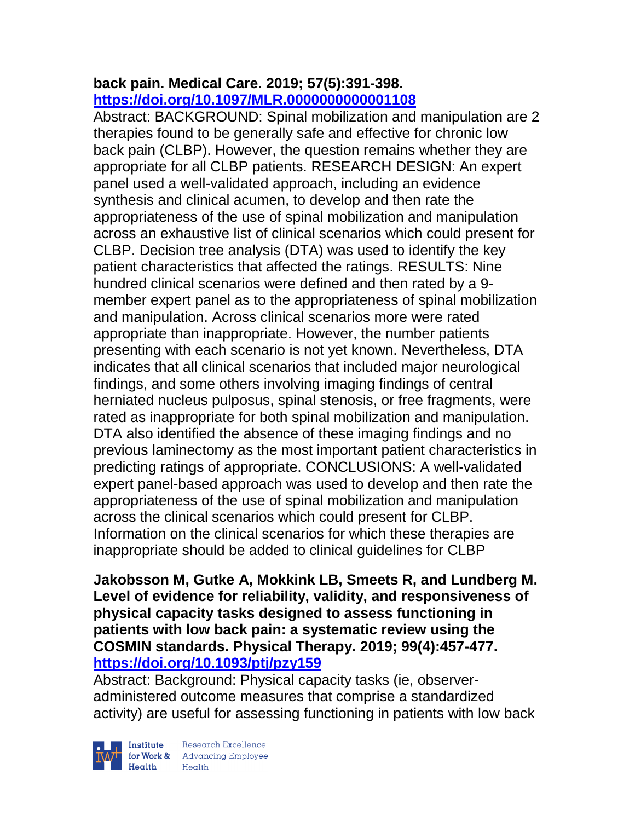## **back pain. Medical Care. 2019; 57(5):391-398. <https://doi.org/10.1097/MLR.0000000000001108>**

Abstract: BACKGROUND: Spinal mobilization and manipulation are 2 therapies found to be generally safe and effective for chronic low back pain (CLBP). However, the question remains whether they are appropriate for all CLBP patients. RESEARCH DESIGN: An expert panel used a well-validated approach, including an evidence synthesis and clinical acumen, to develop and then rate the appropriateness of the use of spinal mobilization and manipulation across an exhaustive list of clinical scenarios which could present for CLBP. Decision tree analysis (DTA) was used to identify the key patient characteristics that affected the ratings. RESULTS: Nine hundred clinical scenarios were defined and then rated by a 9 member expert panel as to the appropriateness of spinal mobilization and manipulation. Across clinical scenarios more were rated appropriate than inappropriate. However, the number patients presenting with each scenario is not yet known. Nevertheless, DTA indicates that all clinical scenarios that included major neurological findings, and some others involving imaging findings of central herniated nucleus pulposus, spinal stenosis, or free fragments, were rated as inappropriate for both spinal mobilization and manipulation. DTA also identified the absence of these imaging findings and no previous laminectomy as the most important patient characteristics in predicting ratings of appropriate. CONCLUSIONS: A well-validated expert panel-based approach was used to develop and then rate the appropriateness of the use of spinal mobilization and manipulation across the clinical scenarios which could present for CLBP. Information on the clinical scenarios for which these therapies are inappropriate should be added to clinical guidelines for CLBP

**Jakobsson M, Gutke A, Mokkink LB, Smeets R, and Lundberg M. Level of evidence for reliability, validity, and responsiveness of physical capacity tasks designed to assess functioning in patients with low back pain: a systematic review using the COSMIN standards. Physical Therapy. 2019; 99(4):457-477. <https://doi.org/10.1093/ptj/pzy159>** 

Abstract: Background: Physical capacity tasks (ie, observeradministered outcome measures that comprise a standardized activity) are useful for assessing functioning in patients with low back



Institute Research Excellence<br>
for Work & Advancing Employee<br>
Health Health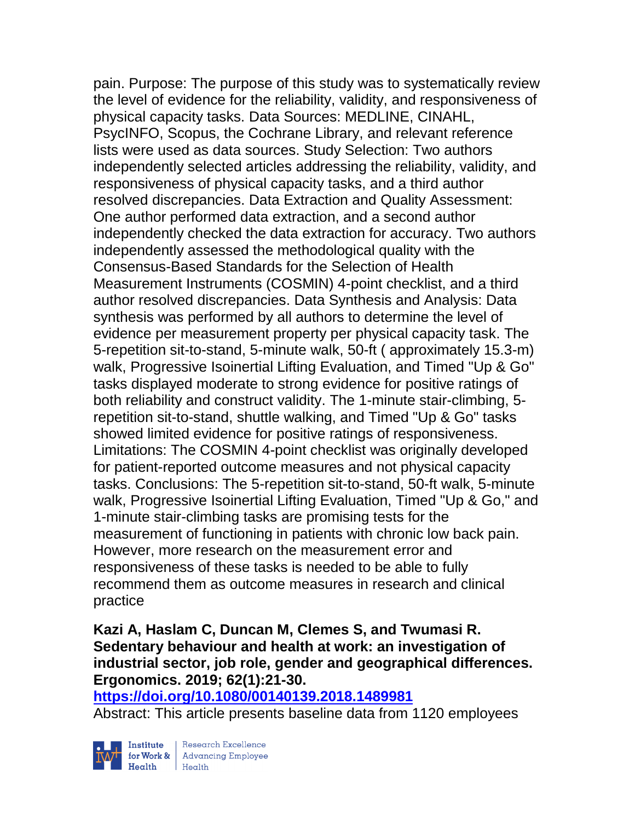pain. Purpose: The purpose of this study was to systematically review the level of evidence for the reliability, validity, and responsiveness of physical capacity tasks. Data Sources: MEDLINE, CINAHL, PsycINFO, Scopus, the Cochrane Library, and relevant reference lists were used as data sources. Study Selection: Two authors independently selected articles addressing the reliability, validity, and responsiveness of physical capacity tasks, and a third author resolved discrepancies. Data Extraction and Quality Assessment: One author performed data extraction, and a second author independently checked the data extraction for accuracy. Two authors independently assessed the methodological quality with the Consensus-Based Standards for the Selection of Health Measurement Instruments (COSMIN) 4-point checklist, and a third author resolved discrepancies. Data Synthesis and Analysis: Data synthesis was performed by all authors to determine the level of evidence per measurement property per physical capacity task. The 5-repetition sit-to-stand, 5-minute walk, 50-ft ( approximately 15.3-m) walk, Progressive Isoinertial Lifting Evaluation, and Timed "Up & Go" tasks displayed moderate to strong evidence for positive ratings of both reliability and construct validity. The 1-minute stair-climbing, 5 repetition sit-to-stand, shuttle walking, and Timed "Up & Go" tasks showed limited evidence for positive ratings of responsiveness. Limitations: The COSMIN 4-point checklist was originally developed for patient-reported outcome measures and not physical capacity tasks. Conclusions: The 5-repetition sit-to-stand, 50-ft walk, 5-minute walk, Progressive Isoinertial Lifting Evaluation, Timed "Up & Go," and 1-minute stair-climbing tasks are promising tests for the measurement of functioning in patients with chronic low back pain. However, more research on the measurement error and responsiveness of these tasks is needed to be able to fully recommend them as outcome measures in research and clinical practice

# **Kazi A, Haslam C, Duncan M, Clemes S, and Twumasi R. Sedentary behaviour and health at work: an investigation of industrial sector, job role, gender and geographical differences. Ergonomics. 2019; 62(1):21-30.**

**<https://doi.org/10.1080/00140139.2018.1489981>** 

Abstract: This article presents baseline data from 1120 employees

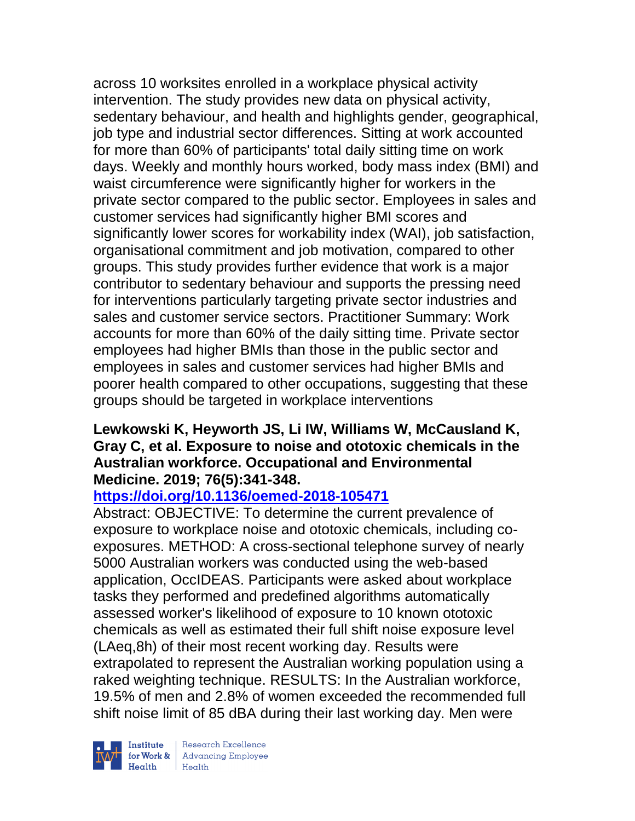across 10 worksites enrolled in a workplace physical activity intervention. The study provides new data on physical activity, sedentary behaviour, and health and highlights gender, geographical, job type and industrial sector differences. Sitting at work accounted for more than 60% of participants' total daily sitting time on work days. Weekly and monthly hours worked, body mass index (BMI) and waist circumference were significantly higher for workers in the private sector compared to the public sector. Employees in sales and customer services had significantly higher BMI scores and significantly lower scores for workability index (WAI), job satisfaction, organisational commitment and job motivation, compared to other groups. This study provides further evidence that work is a major contributor to sedentary behaviour and supports the pressing need for interventions particularly targeting private sector industries and sales and customer service sectors. Practitioner Summary: Work accounts for more than 60% of the daily sitting time. Private sector employees had higher BMIs than those in the public sector and employees in sales and customer services had higher BMIs and poorer health compared to other occupations, suggesting that these groups should be targeted in workplace interventions

## **Lewkowski K, Heyworth JS, Li IW, Williams W, McCausland K, Gray C, et al. Exposure to noise and ototoxic chemicals in the Australian workforce. Occupational and Environmental Medicine. 2019; 76(5):341-348.**

# **<https://doi.org/10.1136/oemed-2018-105471>**

Abstract: OBJECTIVE: To determine the current prevalence of exposure to workplace noise and ototoxic chemicals, including coexposures. METHOD: A cross-sectional telephone survey of nearly 5000 Australian workers was conducted using the web-based application, OccIDEAS. Participants were asked about workplace tasks they performed and predefined algorithms automatically assessed worker's likelihood of exposure to 10 known ototoxic chemicals as well as estimated their full shift noise exposure level (LAeq,8h) of their most recent working day. Results were extrapolated to represent the Australian working population using a raked weighting technique. RESULTS: In the Australian workforce, 19.5% of men and 2.8% of women exceeded the recommended full shift noise limit of 85 dBA during their last working day. Men were

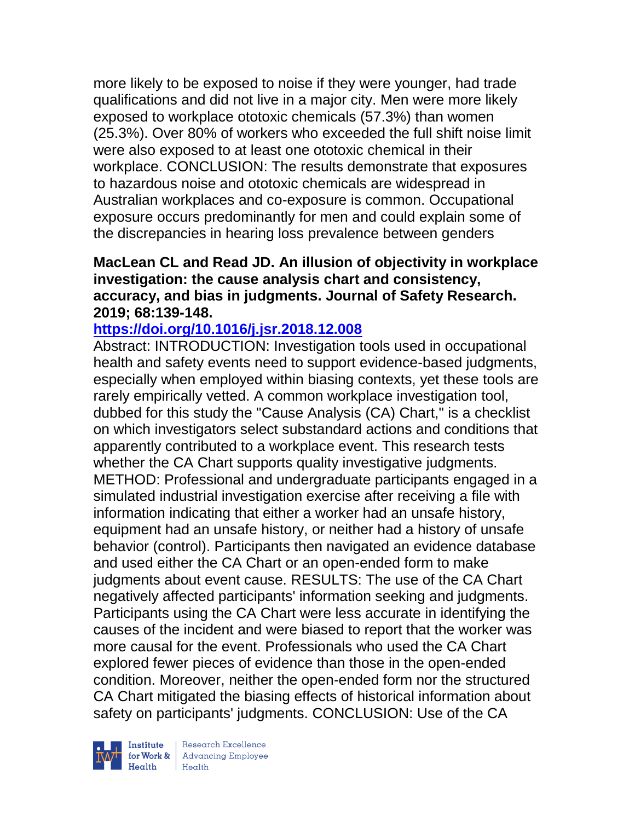more likely to be exposed to noise if they were younger, had trade qualifications and did not live in a major city. Men were more likely exposed to workplace ototoxic chemicals (57.3%) than women (25.3%). Over 80% of workers who exceeded the full shift noise limit were also exposed to at least one ototoxic chemical in their workplace. CONCLUSION: The results demonstrate that exposures to hazardous noise and ototoxic chemicals are widespread in Australian workplaces and co-exposure is common. Occupational exposure occurs predominantly for men and could explain some of the discrepancies in hearing loss prevalence between genders

## **MacLean CL and Read JD. An illusion of objectivity in workplace investigation: the cause analysis chart and consistency, accuracy, and bias in judgments. Journal of Safety Research. 2019; 68:139-148.**

## **<https://doi.org/10.1016/j.jsr.2018.12.008>**

Abstract: INTRODUCTION: Investigation tools used in occupational health and safety events need to support evidence-based judgments, especially when employed within biasing contexts, yet these tools are rarely empirically vetted. A common workplace investigation tool, dubbed for this study the "Cause Analysis (CA) Chart," is a checklist on which investigators select substandard actions and conditions that apparently contributed to a workplace event. This research tests whether the CA Chart supports quality investigative judgments. METHOD: Professional and undergraduate participants engaged in a simulated industrial investigation exercise after receiving a file with information indicating that either a worker had an unsafe history, equipment had an unsafe history, or neither had a history of unsafe behavior (control). Participants then navigated an evidence database and used either the CA Chart or an open-ended form to make judgments about event cause. RESULTS: The use of the CA Chart negatively affected participants' information seeking and judgments. Participants using the CA Chart were less accurate in identifying the causes of the incident and were biased to report that the worker was more causal for the event. Professionals who used the CA Chart explored fewer pieces of evidence than those in the open-ended condition. Moreover, neither the open-ended form nor the structured CA Chart mitigated the biasing effects of historical information about safety on participants' judgments. CONCLUSION: Use of the CA

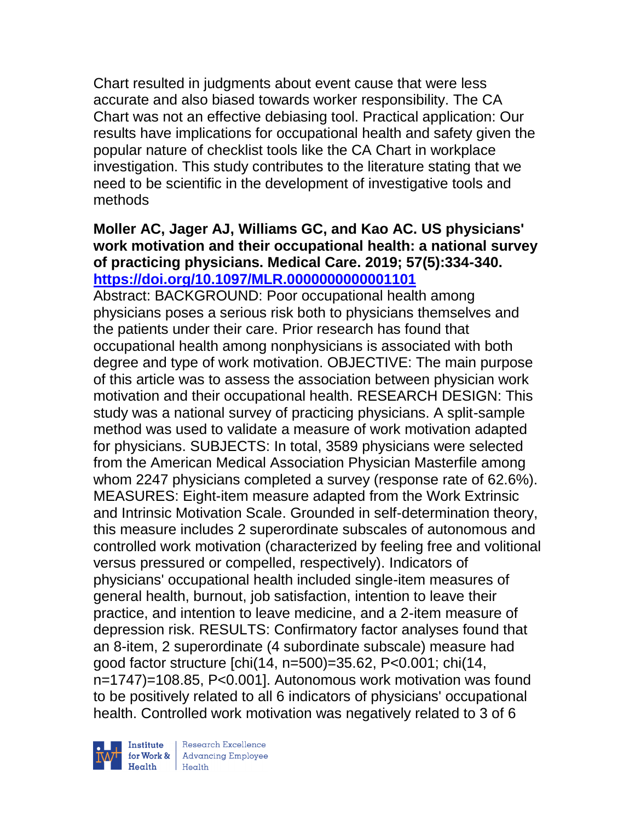Chart resulted in judgments about event cause that were less accurate and also biased towards worker responsibility. The CA Chart was not an effective debiasing tool. Practical application: Our results have implications for occupational health and safety given the popular nature of checklist tools like the CA Chart in workplace investigation. This study contributes to the literature stating that we need to be scientific in the development of investigative tools and methods

#### **Moller AC, Jager AJ, Williams GC, and Kao AC. US physicians' work motivation and their occupational health: a national survey of practicing physicians. Medical Care. 2019; 57(5):334-340. <https://doi.org/10.1097/MLR.0000000000001101>**

Abstract: BACKGROUND: Poor occupational health among physicians poses a serious risk both to physicians themselves and the patients under their care. Prior research has found that occupational health among nonphysicians is associated with both degree and type of work motivation. OBJECTIVE: The main purpose of this article was to assess the association between physician work motivation and their occupational health. RESEARCH DESIGN: This study was a national survey of practicing physicians. A split-sample method was used to validate a measure of work motivation adapted for physicians. SUBJECTS: In total, 3589 physicians were selected from the American Medical Association Physician Masterfile among whom 2247 physicians completed a survey (response rate of 62.6%). MEASURES: Eight-item measure adapted from the Work Extrinsic and Intrinsic Motivation Scale. Grounded in self-determination theory, this measure includes 2 superordinate subscales of autonomous and controlled work motivation (characterized by feeling free and volitional versus pressured or compelled, respectively). Indicators of physicians' occupational health included single-item measures of general health, burnout, job satisfaction, intention to leave their practice, and intention to leave medicine, and a 2-item measure of depression risk. RESULTS: Confirmatory factor analyses found that an 8-item, 2 superordinate (4 subordinate subscale) measure had good factor structure [chi(14, n=500)=35.62, P<0.001; chi(14, n=1747)=108.85, P<0.001]. Autonomous work motivation was found to be positively related to all 6 indicators of physicians' occupational health. Controlled work motivation was negatively related to 3 of 6



Research Excellence for Work & | Advancing Employee  $Heath$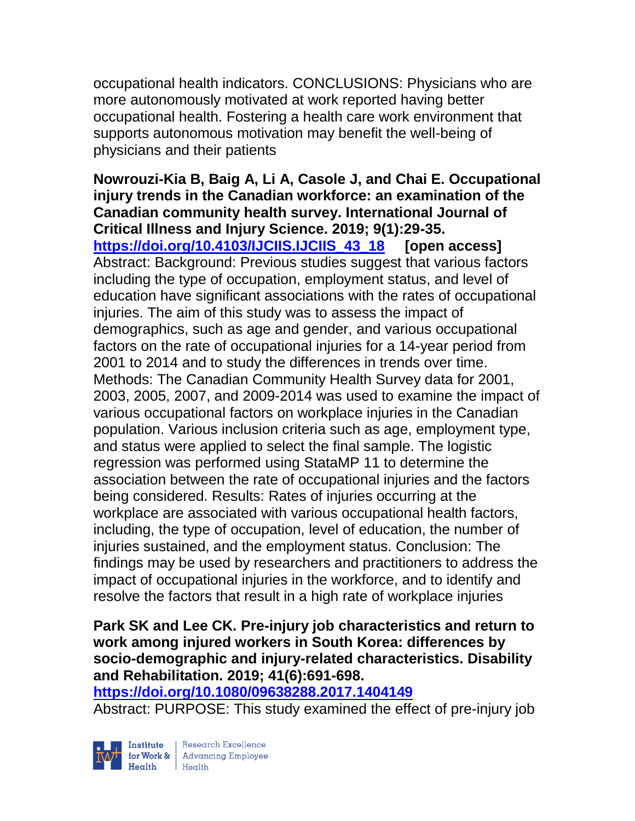occupational health indicators. CONCLUSIONS: Physicians who are more autonomously motivated at work reported having better occupational health. Fostering a health care work environment that supports autonomous motivation may benefit the well-being of physicians and their patients

**Nowrouzi-Kia B, Baig A, Li A, Casole J, and Chai E. Occupational injury trends in the Canadian workforce: an examination of the Canadian community health survey. International Journal of Critical Illness and Injury Science. 2019; 9(1):29-35. [https://doi.org/10.4103/IJCIIS.IJCIIS\\_43\\_18](https://doi.org/10.4103/IJCIIS.IJCIIS_43_18) [open access]** Abstract: Background: Previous studies suggest that various factors including the type of occupation, employment status, and level of education have significant associations with the rates of occupational injuries. The aim of this study was to assess the impact of demographics, such as age and gender, and various occupational factors on the rate of occupational injuries for a 14-year period from 2001 to 2014 and to study the differences in trends over time. Methods: The Canadian Community Health Survey data for 2001, 2003, 2005, 2007, and 2009-2014 was used to examine the impact of various occupational factors on workplace injuries in the Canadian population. Various inclusion criteria such as age, employment type, and status were applied to select the final sample. The logistic regression was performed using StataMP 11 to determine the association between the rate of occupational injuries and the factors being considered. Results: Rates of injuries occurring at the workplace are associated with various occupational health factors, including, the type of occupation, level of education, the number of injuries sustained, and the employment status. Conclusion: The findings may be used by researchers and practitioners to address the impact of occupational injuries in the workforce, and to identify and resolve the factors that result in a high rate of workplace injuries

## **Park SK and Lee CK. Pre-injury job characteristics and return to work among injured workers in South Korea: differences by socio-demographic and injury-related characteristics. Disability and Rehabilitation. 2019; 41(6):691-698.**

**<https://doi.org/10.1080/09638288.2017.1404149>** 

Abstract: PURPOSE: This study examined the effect of pre-injury job



| Research Excellence for Work & Advancing Employee<br>Health Health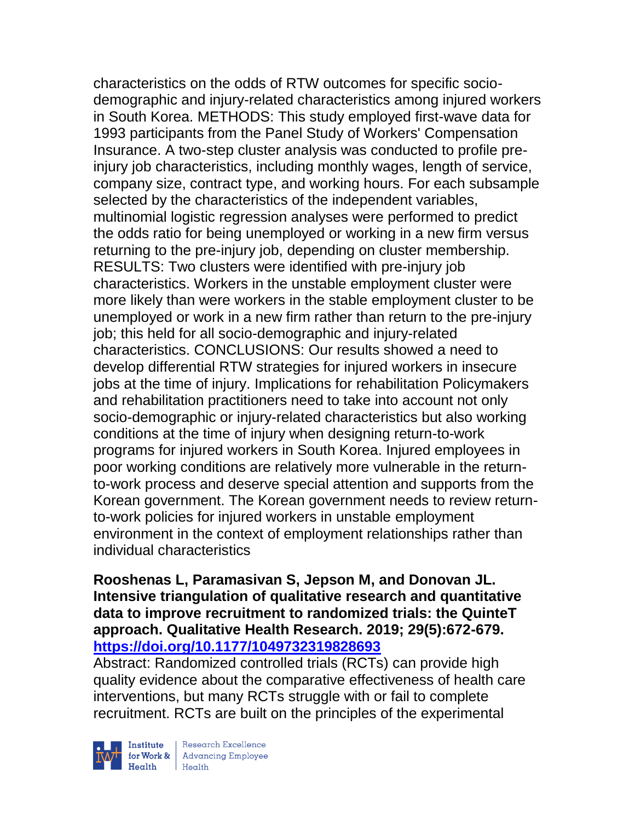characteristics on the odds of RTW outcomes for specific sociodemographic and injury-related characteristics among injured workers in South Korea. METHODS: This study employed first-wave data for 1993 participants from the Panel Study of Workers' Compensation Insurance. A two-step cluster analysis was conducted to profile preinjury job characteristics, including monthly wages, length of service, company size, contract type, and working hours. For each subsample selected by the characteristics of the independent variables, multinomial logistic regression analyses were performed to predict the odds ratio for being unemployed or working in a new firm versus returning to the pre-injury job, depending on cluster membership. RESULTS: Two clusters were identified with pre-injury job characteristics. Workers in the unstable employment cluster were more likely than were workers in the stable employment cluster to be unemployed or work in a new firm rather than return to the pre-injury job; this held for all socio-demographic and injury-related characteristics. CONCLUSIONS: Our results showed a need to develop differential RTW strategies for injured workers in insecure jobs at the time of injury. Implications for rehabilitation Policymakers and rehabilitation practitioners need to take into account not only socio-demographic or injury-related characteristics but also working conditions at the time of injury when designing return-to-work programs for injured workers in South Korea. Injured employees in poor working conditions are relatively more vulnerable in the returnto-work process and deserve special attention and supports from the Korean government. The Korean government needs to review returnto-work policies for injured workers in unstable employment environment in the context of employment relationships rather than individual characteristics

## **Rooshenas L, Paramasivan S, Jepson M, and Donovan JL. Intensive triangulation of qualitative research and quantitative data to improve recruitment to randomized trials: the QuinteT approach. Qualitative Health Research. 2019; 29(5):672-679. <https://doi.org/10.1177/1049732319828693>**

Abstract: Randomized controlled trials (RCTs) can provide high quality evidence about the comparative effectiveness of health care interventions, but many RCTs struggle with or fail to complete recruitment. RCTs are built on the principles of the experimental



| Research Excellence Finantium Research Excellence<br>
Finantium Research Employee<br>
Realth Health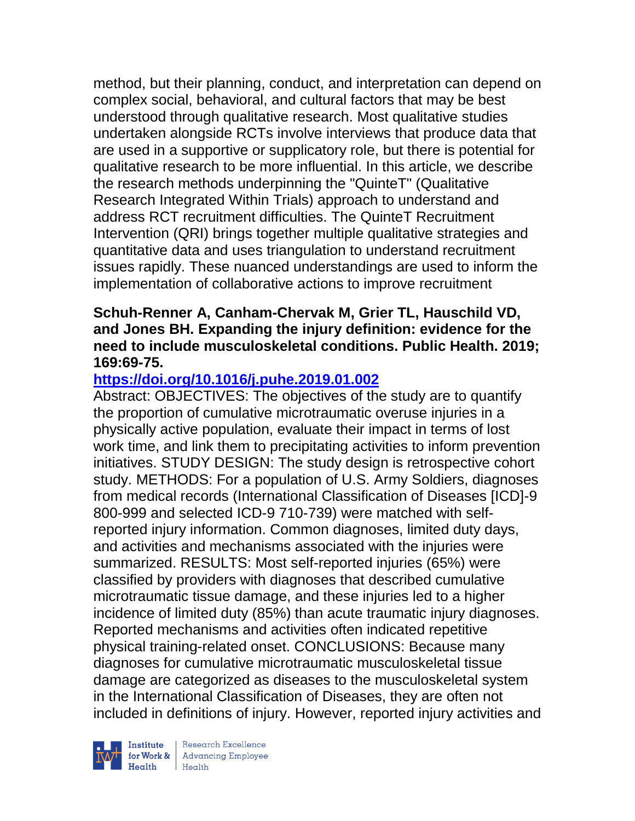method, but their planning, conduct, and interpretation can depend on complex social, behavioral, and cultural factors that may be best understood through qualitative research. Most qualitative studies undertaken alongside RCTs involve interviews that produce data that are used in a supportive or supplicatory role, but there is potential for qualitative research to be more influential. In this article, we describe the research methods underpinning the "QuinteT" (Qualitative Research Integrated Within Trials) approach to understand and address RCT recruitment difficulties. The QuinteT Recruitment Intervention (QRI) brings together multiple qualitative strategies and quantitative data and uses triangulation to understand recruitment issues rapidly. These nuanced understandings are used to inform the implementation of collaborative actions to improve recruitment

#### **Schuh-Renner A, Canham-Chervak M, Grier TL, Hauschild VD, and Jones BH. Expanding the injury definition: evidence for the need to include musculoskeletal conditions. Public Health. 2019; 169:69-75.**

# **<https://doi.org/10.1016/j.puhe.2019.01.002>**

Abstract: OBJECTIVES: The objectives of the study are to quantify the proportion of cumulative microtraumatic overuse injuries in a physically active population, evaluate their impact in terms of lost work time, and link them to precipitating activities to inform prevention initiatives. STUDY DESIGN: The study design is retrospective cohort study. METHODS: For a population of U.S. Army Soldiers, diagnoses from medical records (International Classification of Diseases [ICD]-9 800-999 and selected ICD-9 710-739) were matched with selfreported injury information. Common diagnoses, limited duty days, and activities and mechanisms associated with the injuries were summarized. RESULTS: Most self-reported injuries (65%) were classified by providers with diagnoses that described cumulative microtraumatic tissue damage, and these injuries led to a higher incidence of limited duty (85%) than acute traumatic injury diagnoses. Reported mechanisms and activities often indicated repetitive physical training-related onset. CONCLUSIONS: Because many diagnoses for cumulative microtraumatic musculoskeletal tissue damage are categorized as diseases to the musculoskeletal system in the International Classification of Diseases, they are often not included in definitions of injury. However, reported injury activities and



| Research Excellence for Work & Advancing Employee<br>Health Health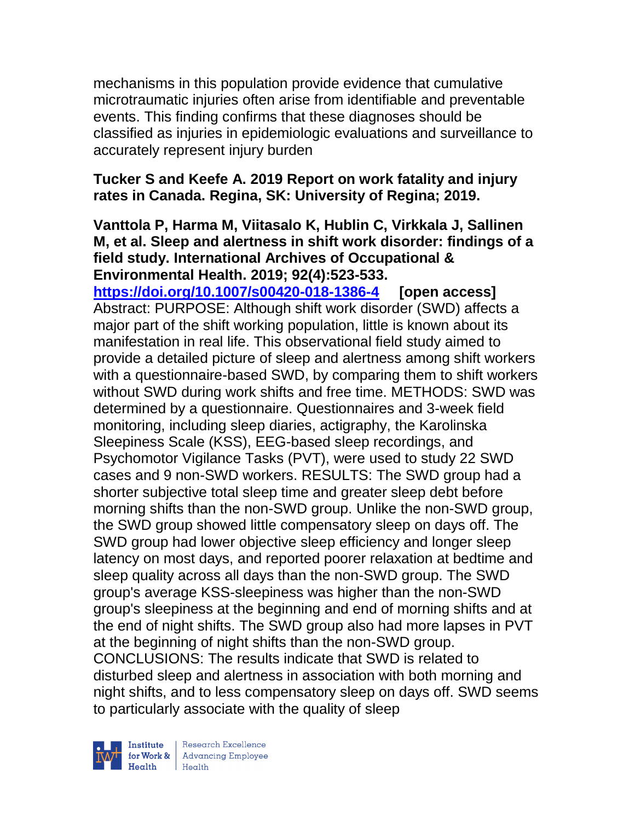mechanisms in this population provide evidence that cumulative microtraumatic injuries often arise from identifiable and preventable events. This finding confirms that these diagnoses should be classified as injuries in epidemiologic evaluations and surveillance to accurately represent injury burden

## **Tucker S and Keefe A. 2019 Report on work fatality and injury rates in Canada. Regina, SK: University of Regina; 2019.**

#### **Vanttola P, Harma M, Viitasalo K, Hublin C, Virkkala J, Sallinen M, et al. Sleep and alertness in shift work disorder: findings of a field study. International Archives of Occupational & Environmental Health. 2019; 92(4):523-533.**

**<https://doi.org/10.1007/s00420-018-1386-4> [open access]** Abstract: PURPOSE: Although shift work disorder (SWD) affects a major part of the shift working population, little is known about its manifestation in real life. This observational field study aimed to provide a detailed picture of sleep and alertness among shift workers with a questionnaire-based SWD, by comparing them to shift workers without SWD during work shifts and free time. METHODS: SWD was determined by a questionnaire. Questionnaires and 3-week field monitoring, including sleep diaries, actigraphy, the Karolinska Sleepiness Scale (KSS), EEG-based sleep recordings, and Psychomotor Vigilance Tasks (PVT), were used to study 22 SWD cases and 9 non-SWD workers. RESULTS: The SWD group had a shorter subjective total sleep time and greater sleep debt before morning shifts than the non-SWD group. Unlike the non-SWD group, the SWD group showed little compensatory sleep on days off. The SWD group had lower objective sleep efficiency and longer sleep latency on most days, and reported poorer relaxation at bedtime and sleep quality across all days than the non-SWD group. The SWD group's average KSS-sleepiness was higher than the non-SWD group's sleepiness at the beginning and end of morning shifts and at the end of night shifts. The SWD group also had more lapses in PVT at the beginning of night shifts than the non-SWD group. CONCLUSIONS: The results indicate that SWD is related to disturbed sleep and alertness in association with both morning and night shifts, and to less compensatory sleep on days off. SWD seems to particularly associate with the quality of sleep

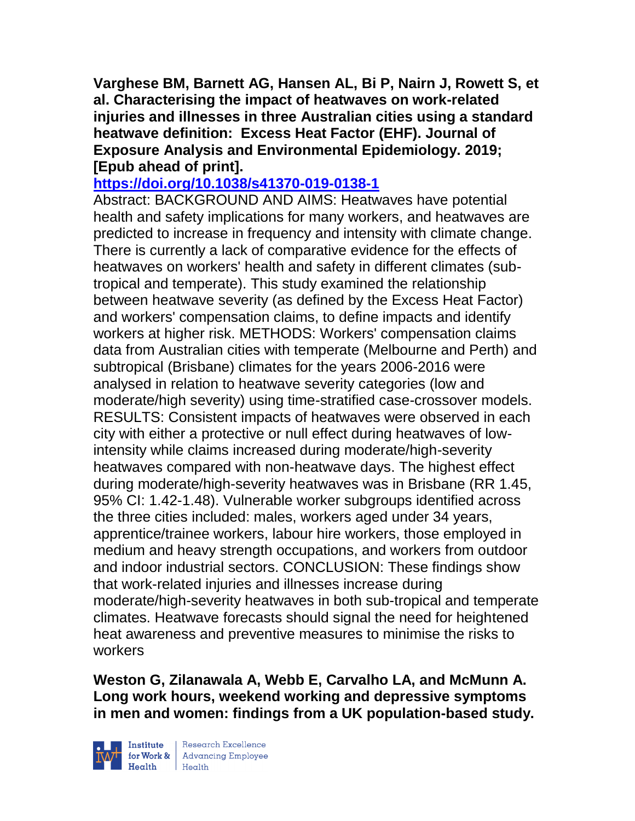**Varghese BM, Barnett AG, Hansen AL, Bi P, Nairn J, Rowett S, et al. Characterising the impact of heatwaves on work-related injuries and illnesses in three Australian cities using a standard heatwave definition: Excess Heat Factor (EHF). Journal of Exposure Analysis and Environmental Epidemiology. 2019; [Epub ahead of print].**

## **<https://doi.org/10.1038/s41370-019-0138-1>**

Abstract: BACKGROUND AND AIMS: Heatwaves have potential health and safety implications for many workers, and heatwaves are predicted to increase in frequency and intensity with climate change. There is currently a lack of comparative evidence for the effects of heatwaves on workers' health and safety in different climates (subtropical and temperate). This study examined the relationship between heatwave severity (as defined by the Excess Heat Factor) and workers' compensation claims, to define impacts and identify workers at higher risk. METHODS: Workers' compensation claims data from Australian cities with temperate (Melbourne and Perth) and subtropical (Brisbane) climates for the years 2006-2016 were analysed in relation to heatwave severity categories (low and moderate/high severity) using time-stratified case-crossover models. RESULTS: Consistent impacts of heatwaves were observed in each city with either a protective or null effect during heatwaves of lowintensity while claims increased during moderate/high-severity heatwaves compared with non-heatwave days. The highest effect during moderate/high-severity heatwaves was in Brisbane (RR 1.45, 95% CI: 1.42-1.48). Vulnerable worker subgroups identified across the three cities included: males, workers aged under 34 years, apprentice/trainee workers, labour hire workers, those employed in medium and heavy strength occupations, and workers from outdoor and indoor industrial sectors. CONCLUSION: These findings show that work-related injuries and illnesses increase during moderate/high-severity heatwaves in both sub-tropical and temperate climates. Heatwave forecasts should signal the need for heightened heat awareness and preventive measures to minimise the risks to workers

**Weston G, Zilanawala A, Webb E, Carvalho LA, and McMunn A. Long work hours, weekend working and depressive symptoms in men and women: findings from a UK population-based study.** 

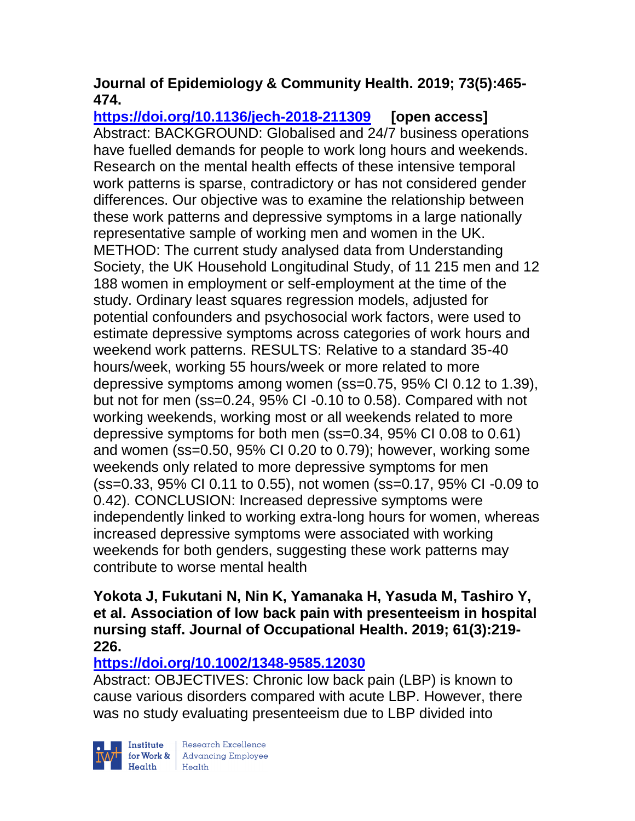# **Journal of Epidemiology & Community Health. 2019; 73(5):465- 474.**

**<https://doi.org/10.1136/jech-2018-211309> [open access]** Abstract: BACKGROUND: Globalised and 24/7 business operations have fuelled demands for people to work long hours and weekends. Research on the mental health effects of these intensive temporal work patterns is sparse, contradictory or has not considered gender differences. Our objective was to examine the relationship between these work patterns and depressive symptoms in a large nationally representative sample of working men and women in the UK. METHOD: The current study analysed data from Understanding Society, the UK Household Longitudinal Study, of 11 215 men and 12 188 women in employment or self-employment at the time of the study. Ordinary least squares regression models, adjusted for potential confounders and psychosocial work factors, were used to estimate depressive symptoms across categories of work hours and weekend work patterns. RESULTS: Relative to a standard 35-40 hours/week, working 55 hours/week or more related to more depressive symptoms among women (ss=0.75, 95% CI 0.12 to 1.39), but not for men (ss=0.24, 95% CI -0.10 to 0.58). Compared with not working weekends, working most or all weekends related to more depressive symptoms for both men (ss=0.34, 95% CI 0.08 to 0.61) and women (ss=0.50, 95% CI 0.20 to 0.79); however, working some weekends only related to more depressive symptoms for men (ss=0.33, 95% CI 0.11 to 0.55), not women (ss=0.17, 95% CI -0.09 to 0.42). CONCLUSION: Increased depressive symptoms were independently linked to working extra-long hours for women, whereas increased depressive symptoms were associated with working weekends for both genders, suggesting these work patterns may contribute to worse mental health

#### **Yokota J, Fukutani N, Nin K, Yamanaka H, Yasuda M, Tashiro Y, et al. Association of low back pain with presenteeism in hospital nursing staff. Journal of Occupational Health. 2019; 61(3):219- 226.**

# **<https://doi.org/10.1002/1348-9585.12030>**

Abstract: OBJECTIVES: Chronic low back pain (LBP) is known to cause various disorders compared with acute LBP. However, there was no study evaluating presenteeism due to LBP divided into